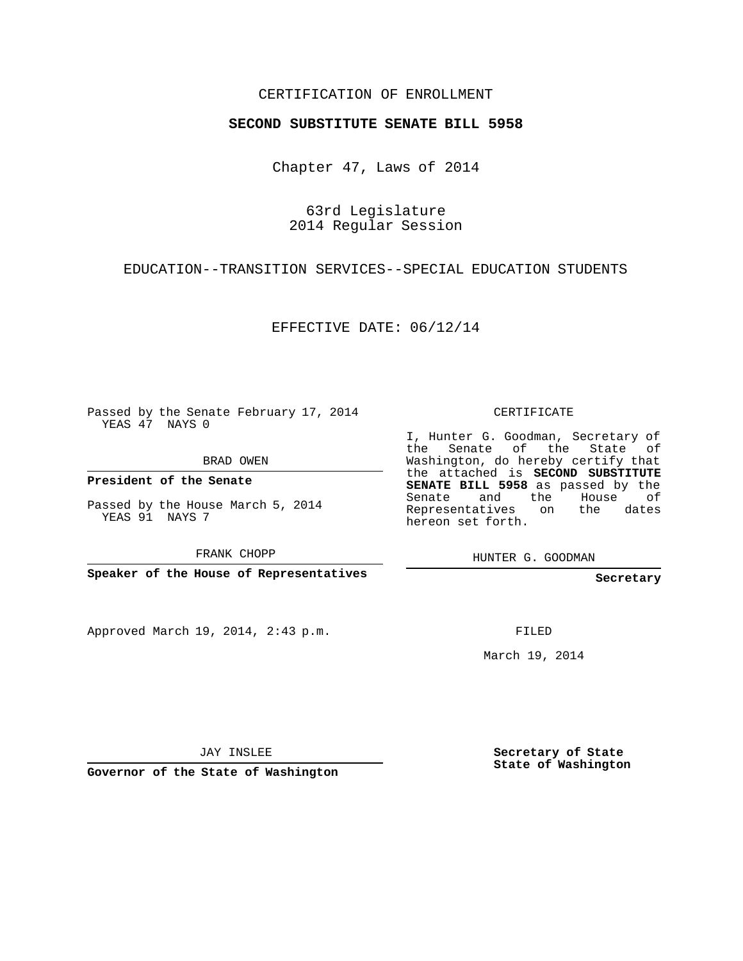## CERTIFICATION OF ENROLLMENT

## **SECOND SUBSTITUTE SENATE BILL 5958**

Chapter 47, Laws of 2014

63rd Legislature 2014 Regular Session

EDUCATION--TRANSITION SERVICES--SPECIAL EDUCATION STUDENTS

EFFECTIVE DATE: 06/12/14

Passed by the Senate February 17, 2014 YEAS 47 NAYS 0

BRAD OWEN

**President of the Senate**

Passed by the House March 5, 2014 YEAS 91 NAYS 7

FRANK CHOPP

**Speaker of the House of Representatives**

Approved March 19, 2014, 2:43 p.m.

CERTIFICATE

I, Hunter G. Goodman, Secretary of the Senate of the State of Washington, do hereby certify that the attached is **SECOND SUBSTITUTE SENATE BILL 5958** as passed by the Senate and the House of Representatives on the dates hereon set forth.

HUNTER G. GOODMAN

**Secretary**

FILED

March 19, 2014

JAY INSLEE

**Governor of the State of Washington**

**Secretary of State State of Washington**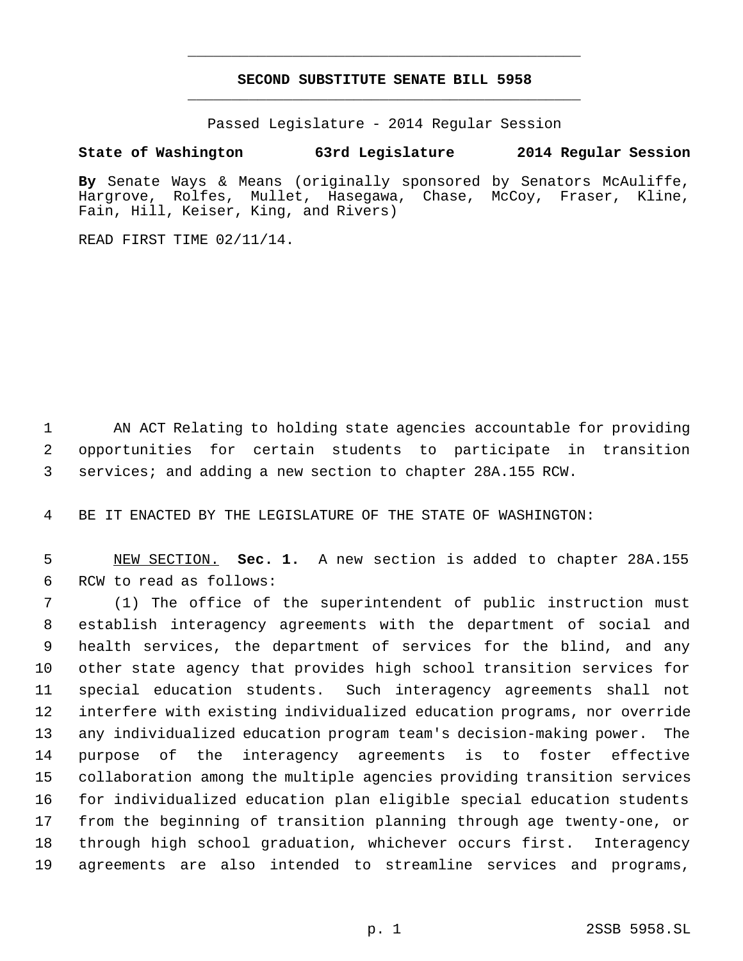## **SECOND SUBSTITUTE SENATE BILL 5958** \_\_\_\_\_\_\_\_\_\_\_\_\_\_\_\_\_\_\_\_\_\_\_\_\_\_\_\_\_\_\_\_\_\_\_\_\_\_\_\_\_\_\_\_\_

\_\_\_\_\_\_\_\_\_\_\_\_\_\_\_\_\_\_\_\_\_\_\_\_\_\_\_\_\_\_\_\_\_\_\_\_\_\_\_\_\_\_\_\_\_

Passed Legislature - 2014 Regular Session

## **State of Washington 63rd Legislature 2014 Regular Session**

**By** Senate Ways & Means (originally sponsored by Senators McAuliffe, Hargrove, Rolfes, Mullet, Hasegawa, Chase, McCoy, Fraser, Kline, Fain, Hill, Keiser, King, and Rivers)

READ FIRST TIME 02/11/14.

 AN ACT Relating to holding state agencies accountable for providing opportunities for certain students to participate in transition services; and adding a new section to chapter 28A.155 RCW.

BE IT ENACTED BY THE LEGISLATURE OF THE STATE OF WASHINGTON:

 NEW SECTION. **Sec. 1.** A new section is added to chapter 28A.155 RCW to read as follows:

 (1) The office of the superintendent of public instruction must establish interagency agreements with the department of social and health services, the department of services for the blind, and any other state agency that provides high school transition services for special education students. Such interagency agreements shall not interfere with existing individualized education programs, nor override any individualized education program team's decision-making power. The purpose of the interagency agreements is to foster effective collaboration among the multiple agencies providing transition services for individualized education plan eligible special education students from the beginning of transition planning through age twenty-one, or through high school graduation, whichever occurs first. Interagency agreements are also intended to streamline services and programs,